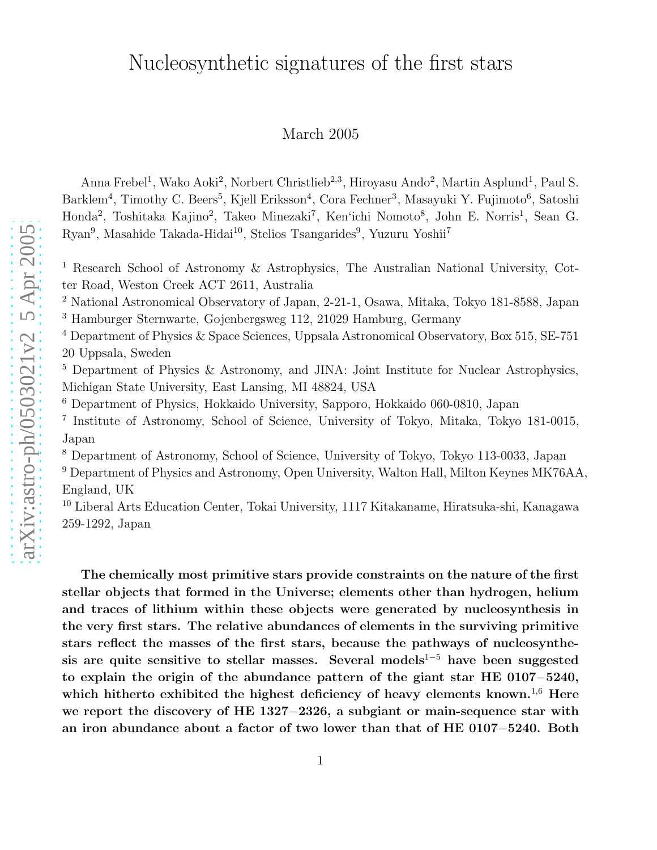## Nucleosynthetic signatures of the first stars

## March 2005

Anna Frebel<sup>1</sup>, Wako Aoki<sup>2</sup>, Norbert Christlieb<sup>2,3</sup>, Hiroyasu Ando<sup>2</sup>, Martin Asplund<sup>1</sup>, Paul S. Barklem<sup>4</sup>, Timothy C. Beers<sup>5</sup>, Kjell Eriksson<sup>4</sup>, Cora Fechner<sup>3</sup>, Masayuki Y. Fujimoto<sup>6</sup>, Satoshi Honda<sup>2</sup>, Toshitaka Kajino<sup>2</sup>, Takeo Minezaki<sup>7</sup>, Ken'ichi Nomoto<sup>8</sup>, John E. Norris<sup>1</sup>, Sean G. Ryan<sup>9</sup>, Masahide Takada-Hidai<sup>10</sup>, Stelios Tsangarides<sup>9</sup>, Yuzuru Yoshii<sup>7</sup>

<sup>1</sup> Research School of Astronomy & Astrophysics, The Australian National University, Cotter Road, Weston Creek ACT 2611, Australia

<sup>2</sup> National Astronomical Observatory of Japan, 2-21-1, Osawa, Mitaka, Tokyo 181-8588, Japan <sup>3</sup> Hamburger Sternwarte, Gojenbergsweg 112, 21029 Hamburg, Germany

<sup>4</sup> Department of Physics & Space Sciences, Uppsala Astronomical Observatory, Box 515, SE-751 20 Uppsala, Sweden

<sup>5</sup> Department of Physics & Astronomy, and JINA: Joint Institute for Nuclear Astrophysics, Michigan State University, East Lansing, MI 48824, USA

<sup>6</sup> Department of Physics, Hokkaido University, Sapporo, Hokkaido 060-0810, Japan

7 Institute of Astronomy, School of Science, University of Tokyo, Mitaka, Tokyo 181-0015, Japan

<sup>8</sup> Department of Astronomy, School of Science, University of Tokyo, Tokyo 113-0033, Japan

<sup>9</sup> Department of Physics and Astronomy, Open University, Walton Hall, Milton Keynes MK76AA, England, UK

<sup>10</sup> Liberal Arts Education Center, Tokai University, 1117 Kitakaname, Hiratsuka-shi, Kanagawa 259-1292, Japan

The chemically most primitive stars provide constraints on the nature of the first stellar objects that formed in the Universe; elements other than hydrogen, helium and traces of lithium within these objects were generated by nucleosynthesis in the very first stars. The relative abundances of elements in the surviving primitive stars reflect the masses of the first stars, because the pathways of nucleosynthesis are quite sensitive to stellar masses. Several models<sup>1–5</sup> have been suggested to explain the origin of the abundance pattern of the giant star HE 0107-5240, which hitherto exhibited the highest deficiency of heavy elements known.<sup>1,6</sup> Here we report the discovery of HE 1327-2326, a subgiant or main-sequence star with an iron abundance about a factor of two lower than that of HE 0107-5240. Both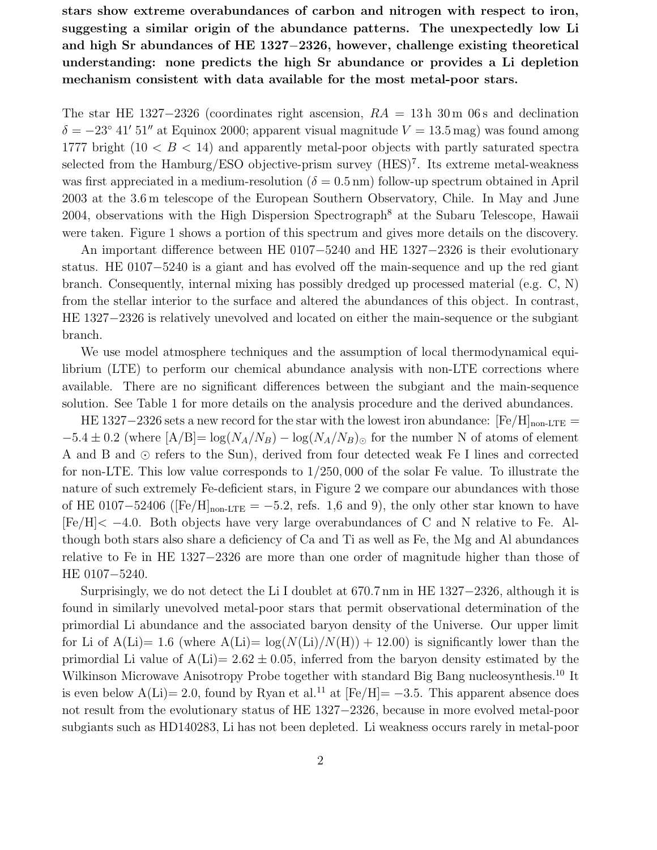stars show extreme overabundances of carbon and nitrogen with respect to iron, suggesting a similar origin of the abundance patterns. The unexpectedly low Li and high Sr abundances of HE 1327−2326, however, challenge existing theoretical understanding: none predicts the high Sr abundance or provides a Li depletion mechanism consistent with data available for the most metal-poor stars.

The star HE 1327−2326 (coordinates right ascension,  $RA = 13h$  30 m 06s and declination  $\delta = -23^{\circ}$  41′ 51″ at Equinox 2000; apparent visual magnitude  $V = 13.5$  mag) was found among 1777 bright  $(10 < B < 14)$  and apparently metal-poor objects with partly saturated spectra selected from the Hamburg/ESO objective-prism survey (HES)<sup>7</sup>. Its extreme metal-weakness was first appreciated in a medium-resolution ( $\delta = 0.5$  nm) follow-up spectrum obtained in April 2003 at the 3.6 m telescope of the European Southern Observatory, Chile. In May and June 2004, observations with the High Dispersion Spectrograph<sup>8</sup> at the Subaru Telescope, Hawaii were taken. Figure 1 shows a portion of this spectrum and gives more details on the discovery.

An important difference between HE 0107−5240 and HE 1327−2326 is their evolutionary status. HE 0107−5240 is a giant and has evolved off the main-sequence and up the red giant branch. Consequently, internal mixing has possibly dredged up processed material (e.g. C, N) from the stellar interior to the surface and altered the abundances of this object. In contrast, HE 1327−2326 is relatively unevolved and located on either the main-sequence or the subgiant branch.

We use model atmosphere techniques and the assumption of local thermodynamical equilibrium (LTE) to perform our chemical abundance analysis with non-LTE corrections where available. There are no significant differences between the subgiant and the main-sequence solution. See Table 1 for more details on the analysis procedure and the derived abundances.

HE 1327–2326 sets a new record for the star with the lowest iron abundance:  $[Fe/H]_{\text{non-LTE}} =$  $-5.4 \pm 0.2$  (where  $[A/B] = \log(N_A/N_B) - \log(N_A/N_B)$ ) for the number N of atoms of element A and B and ⊙ refers to the Sun), derived from four detected weak Fe I lines and corrected for non-LTE. This low value corresponds to 1/250, 000 of the solar Fe value. To illustrate the nature of such extremely Fe-deficient stars, in Figure 2 we compare our abundances with those of HE 0107–52406 ( $[Fe/H]_{non-LTE} = -5.2$ , refs. 1,6 and 9), the only other star known to have [Fe/H]< −4.0. Both objects have very large overabundances of C and N relative to Fe. Although both stars also share a deficiency of Ca and Ti as well as Fe, the Mg and Al abundances relative to Fe in HE 1327−2326 are more than one order of magnitude higher than those of HE 0107−5240.

Surprisingly, we do not detect the Li I doublet at 670.7 nm in HE 1327−2326, although it is found in similarly unevolved metal-poor stars that permit observational determination of the primordial Li abundance and the associated baryon density of the Universe. Our upper limit for Li of A(Li)= 1.6 (where A(Li)=  $\log(N(Li)/N(H)) + 12.00$ ) is significantly lower than the primordial Li value of  $A(Li)= 2.62 \pm 0.05$ , inferred from the baryon density estimated by the Wilkinson Microwave Anisotropy Probe together with standard Big Bang nucleosynthesis.<sup>10</sup> It is even below  $A(Li) = 2.0$ , found by Ryan et al.<sup>11</sup> at [Fe/H]=  $-3.5$ . This apparent absence does not result from the evolutionary status of HE 1327−2326, because in more evolved metal-poor subgiants such as HD140283, Li has not been depleted. Li weakness occurs rarely in metal-poor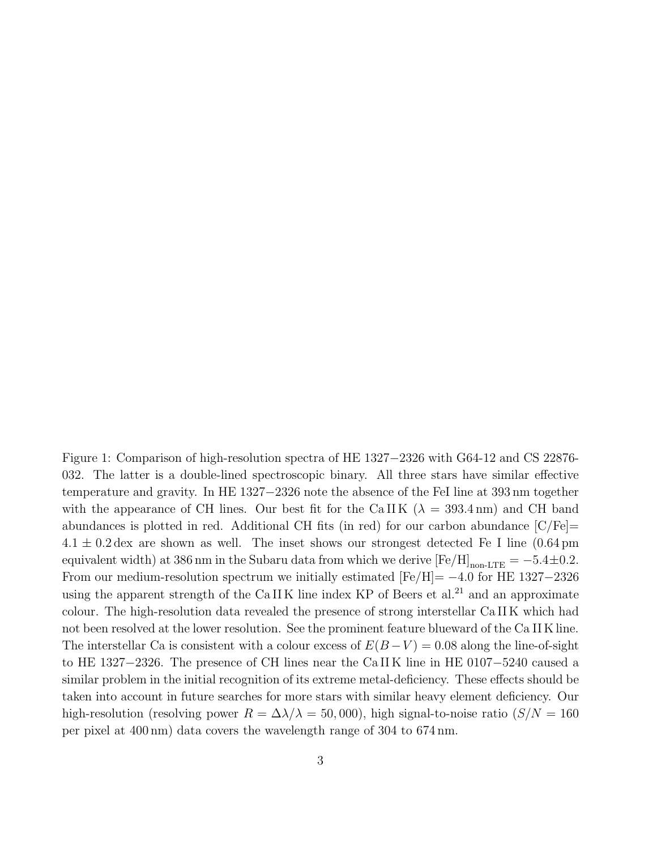Figure 1: Comparison of high-resolution spectra of HE 1327−2326 with G64-12 and CS 22876- 032. The latter is a double-lined spectroscopic binary. All three stars have similar effective temperature and gravity. In HE 1327−2326 note the absence of the FeI line at 393 nm together with the appearance of CH lines. Our best fit for the CaII K ( $\lambda = 393.4 \text{ nm}$ ) and CH band abundances is plotted in red. Additional CH fits (in red) for our carbon abundance  $\left[\frac{\text{C}}{\text{Fe}}\right]=$  $4.1 \pm 0.2$  dex are shown as well. The inset shows our strongest detected Fe I line (0.64 pm) equivalent width) at 386 nm in the Subaru data from which we derive  $[Fe/H]_{\text{non-LTE}} = -5.4 \pm 0.2$ . From our medium-resolution spectrum we initially estimated  $[Fe/H] = -4.0$  for HE 1327-2326 using the apparent strength of the  $CaIIK$  line index KP of Beers et al.<sup>21</sup> and an approximate colour. The high-resolution data revealed the presence of strong interstellar Ca II K which had not been resolved at the lower resolution. See the prominent feature blueward of the Ca II K line. The interstellar Ca is consistent with a colour excess of  $E(B-V) = 0.08$  along the line-of-sight to HE 1327−2326. The presence of CH lines near the Ca II K line in HE 0107−5240 caused a similar problem in the initial recognition of its extreme metal-deficiency. These effects should be taken into account in future searches for more stars with similar heavy element deficiency. Our high-resolution (resolving power  $R = \Delta\lambda/\lambda = 50,000$ ), high signal-to-noise ratio ( $S/N = 160$ ) per pixel at 400 nm) data covers the wavelength range of 304 to 674 nm.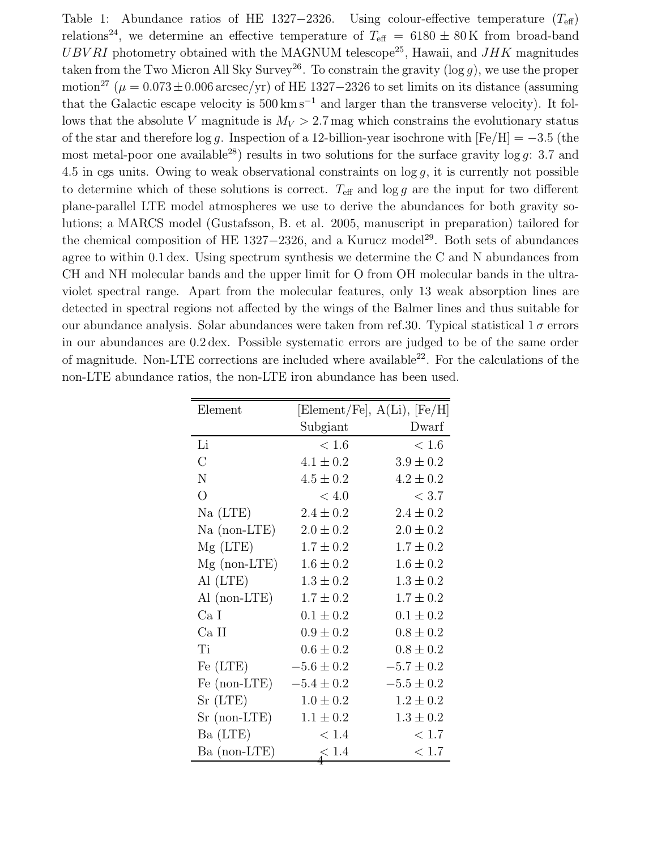Table 1: Abundance ratios of HE 1327–2326. Using colour-effective temperature  $(T_{\text{eff}})$ relations<sup>24</sup>, we determine an effective temperature of  $T_{\text{eff}} = 6180 \pm 80 \,\text{K}$  from broad-band  $UBVRI$  photometry obtained with the MAGNUM telescope<sup>25</sup>, Hawaii, and  $JHK$  magnitudes taken from the Two Micron All Sky Survey<sup>26</sup>. To constrain the gravity  $(\log g)$ , we use the proper motion<sup>27</sup> ( $\mu = 0.073 \pm 0.006$  arcsec/yr) of HE 1327–2326 to set limits on its distance (assuming that the Galactic escape velocity is  $500 \,\mathrm{km\,s^{-1}}$  and larger than the transverse velocity). It follows that the absolute V magnitude is  $M_V > 2.7$  mag which constrains the evolutionary status of the star and therefore log q. Inspection of a 12-billion-year isochrone with  $[Fe/H] = -3.5$  (the most metal-poor one available<sup>28</sup>) results in two solutions for the surface gravity log g: 3.7 and 4.5 in cgs units. Owing to weak observational constraints on  $\log g$ , it is currently not possible to determine which of these solutions is correct.  $T_{\text{eff}}$  and log g are the input for two different plane-parallel LTE model atmospheres we use to derive the abundances for both gravity solutions; a MARCS model (Gustafsson, B. et al. 2005, manuscript in preparation) tailored for the chemical composition of HE 1327−2326, and a Kurucz model<sup>29</sup>. Both sets of abundances agree to within 0.1 dex. Using spectrum synthesis we determine the C and N abundances from CH and NH molecular bands and the upper limit for O from OH molecular bands in the ultraviolet spectral range. Apart from the molecular features, only 13 weak absorption lines are detected in spectral regions not affected by the wings of the Balmer lines and thus suitable for our abundance analysis. Solar abundances were taken from ref. 30. Typical statistical  $1\sigma$  errors in our abundances are 0.2 dex. Possible systematic errors are judged to be of the same order of magnitude. Non-LTE corrections are included where available<sup>22</sup>. For the calculations of the non-LTE abundance ratios, the non-LTE iron abundance has been used.

| Element        |                | [Element/Fe], $A(Li)$ , [Fe/H] |
|----------------|----------------|--------------------------------|
|                | Subgiant       | Dwarf                          |
| Li             | < 1.6          | < 1.6                          |
| $\overline{C}$ | $4.1 \pm 0.2$  | $3.9 \pm 0.2$                  |
| $\mathbf N$    | $4.5 \pm 0.2$  | $4.2 \pm 0.2$                  |
| $\overline{O}$ | < 4.0          | $<$ 3.7                        |
| Na(LTE)        | $2.4 \pm 0.2$  | $2.4 \pm 0.2$                  |
| $Na$ (non-LTE) | $2.0 \pm 0.2$  | $2.0 \pm 0.2$                  |
| $Mg$ (LTE)     | $1.7 \pm 0.2$  | $1.7 \pm 0.2$                  |
| $Mg$ (non-LTE) | $1.6 \pm 0.2$  | $1.6 \pm 0.2$                  |
| Al (LTE)       | $1.3 \pm 0.2$  | $1.3 \pm 0.2$                  |
| Al $(non-LTE)$ | $1.7 \pm 0.2$  | $1.7 \pm 0.2$                  |
| Ca I           | $0.1 \pm 0.2$  | $0.1 \pm 0.2$                  |
| Ca II          | $0.9 \pm 0.2$  | $0.8 \pm 0.2$                  |
| Ti             | $0.6 \pm 0.2$  | $0.8 \pm 0.2$                  |
| Fe (LTE)       | $-5.6 \pm 0.2$ | $-5.7 \pm 0.2$                 |
| Fe (non-LTE)   | $-5.4 \pm 0.2$ | $-5.5 \pm 0.2$                 |
| $Sr$ (LTE)     | $1.0 \pm 0.2$  | $1.2 \pm 0.2$                  |
| $Sr$ (non-LTE) | $1.1 \pm 0.2$  | $1.3 \pm 0.2$                  |
| Ba (LTE)       | < 1.4          | < 1.7                          |
| Ba (non-LTE)   | $\lesssim 1.4$ | < 1.7                          |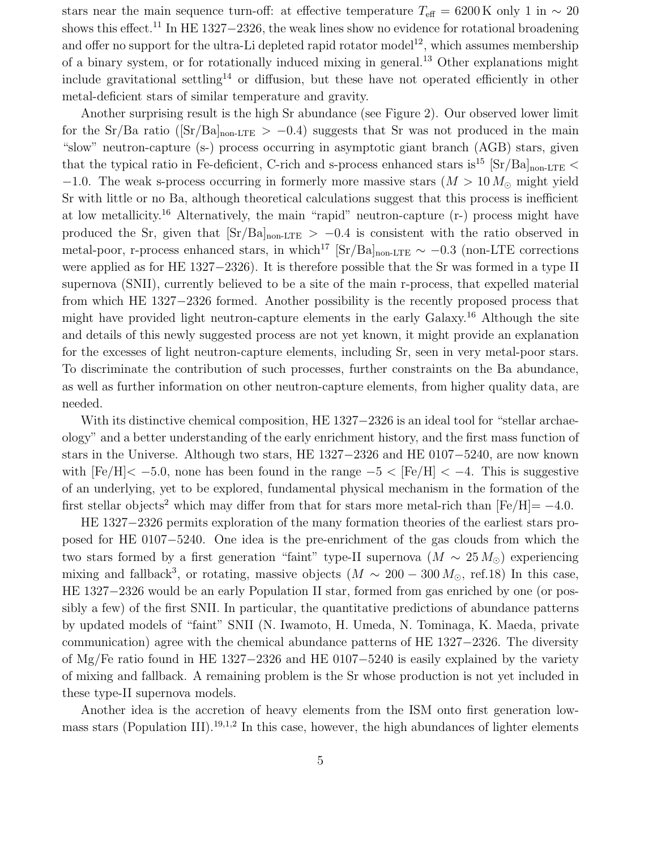stars near the main sequence turn-off: at effective temperature  $T_{\text{eff}} = 6200 \text{ K}$  only 1 in  $\sim 20$ shows this effect.<sup>11</sup> In HE 1327−2326, the weak lines show no evidence for rotational broadening and offer no support for the ultra-Li depleted rapid rotator model<sup>12</sup>, which assumes membership of a binary system, or for rotationally induced mixing in general.<sup>13</sup> Other explanations might include gravitational settling<sup>14</sup> or diffusion, but these have not operated efficiently in other metal-deficient stars of similar temperature and gravity.

Another surprising result is the high Sr abundance (see Figure 2). Our observed lower limit for the Sr/Ba ratio ( $[Sr/Ba]_{non-LTE} > -0.4$ ) suggests that Sr was not produced in the main "slow" neutron-capture (s-) process occurring in asymptotic giant branch (AGB) stars, given that the typical ratio in Fe-deficient, C-rich and s-process enhanced stars is<sup>15</sup> [Sr/Ba]<sub>non-LTE</sub> <  $-1.0$ . The weak s-process occurring in formerly more massive stars  $(M > 10 M_{\odot}$  might yield Sr with little or no Ba, although theoretical calculations suggest that this process is inefficient at low metallicity.<sup>16</sup> Alternatively, the main "rapid" neutron-capture (r-) process might have produced the Sr, given that  $[Sr/Ba]_{non-LTE} > -0.4$  is consistent with the ratio observed in metal-poor, r-process enhanced stars, in which<sup>17</sup> [Sr/Ba]<sub>non-LTE</sub>  $\sim -0.3$  (non-LTE corrections were applied as for HE 1327−2326). It is therefore possible that the Sr was formed in a type II supernova (SNII), currently believed to be a site of the main r-process, that expelled material from which HE 1327−2326 formed. Another possibility is the recently proposed process that might have provided light neutron-capture elements in the early Galaxy.<sup>16</sup> Although the site and details of this newly suggested process are not yet known, it might provide an explanation for the excesses of light neutron-capture elements, including Sr, seen in very metal-poor stars. To discriminate the contribution of such processes, further constraints on the Ba abundance, as well as further information on other neutron-capture elements, from higher quality data, are needed.

With its distinctive chemical composition, HE 1327−2326 is an ideal tool for "stellar archaeology" and a better understanding of the early enrichment history, and the first mass function of stars in the Universe. Although two stars, HE 1327−2326 and HE 0107−5240, are now known with  $[Fe/H] < -5.0$ , none has been found in the range  $-5 < [Fe/H] < -4$ . This is suggestive of an underlying, yet to be explored, fundamental physical mechanism in the formation of the first stellar objects<sup>2</sup> which may differ from that for stars more metal-rich than  $[Fe/H] = -4.0$ .

HE 1327−2326 permits exploration of the many formation theories of the earliest stars proposed for HE 0107−5240. One idea is the pre-enrichment of the gas clouds from which the two stars formed by a first generation "faint" type-II supernova ( $M \sim 25 M_{\odot}$ ) experiencing mixing and fallback<sup>3</sup>, or rotating, massive objects  $(M \sim 200 - 300 M_{\odot}, \text{ref.18})$  In this case, HE 1327−2326 would be an early Population II star, formed from gas enriched by one (or possibly a few) of the first SNII. In particular, the quantitative predictions of abundance patterns by updated models of "faint" SNII (N. Iwamoto, H. Umeda, N. Tominaga, K. Maeda, private communication) agree with the chemical abundance patterns of HE 1327−2326. The diversity of Mg/Fe ratio found in HE 1327−2326 and HE 0107−5240 is easily explained by the variety of mixing and fallback. A remaining problem is the Sr whose production is not yet included in these type-II supernova models.

Another idea is the accretion of heavy elements from the ISM onto first generation lowmass stars (Population III).<sup>19,1,2</sup> In this case, however, the high abundances of lighter elements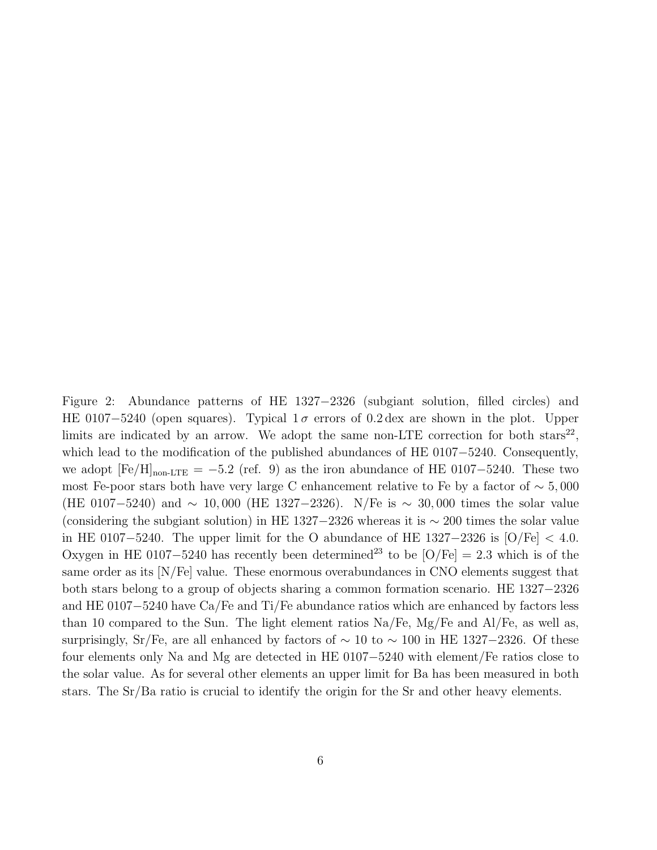Figure 2: Abundance patterns of HE 1327−2326 (subgiant solution, filled circles) and HE 0107-5240 (open squares). Typical  $1\sigma$  errors of 0.2 dex are shown in the plot. Upper limits are indicated by an arrow. We adopt the same non-LTE correction for both  $\text{stars}^{22}$ , which lead to the modification of the published abundances of HE 0107−5240. Consequently, we adopt  $[Fe/H]_{\text{non-LTE}} = -5.2$  (ref. 9) as the iron abundance of HE 0107-5240. These two most Fe-poor stars both have very large C enhancement relative to Fe by a factor of  $\sim 5,000$ (HE 0107–5240) and  $\sim 10,000$  (HE 1327–2326). N/Fe is  $\sim 30,000$  times the solar value (considering the subgiant solution) in HE 1327–2326 whereas it is  $\sim 200$  times the solar value in HE 0107-5240. The upper limit for the O abundance of HE  $1327-2326$  is  $\text{[O/Fe]} < 4.0$ . Oxygen in HE 0107–5240 has recently been determined<sup>23</sup> to be [O/Fe] = 2.3 which is of the same order as its [N/Fe] value. These enormous overabundances in CNO elements suggest that both stars belong to a group of objects sharing a common formation scenario. HE 1327−2326 and HE 0107−5240 have Ca/Fe and Ti/Fe abundance ratios which are enhanced by factors less than 10 compared to the Sun. The light element ratios Na/Fe, Mg/Fe and Al/Fe, as well as, surprisingly, Sr/Fe, are all enhanced by factors of  $\sim 10$  to  $\sim 100$  in HE 1327–2326. Of these four elements only Na and Mg are detected in HE 0107−5240 with element/Fe ratios close to the solar value. As for several other elements an upper limit for Ba has been measured in both stars. The Sr/Ba ratio is crucial to identify the origin for the Sr and other heavy elements.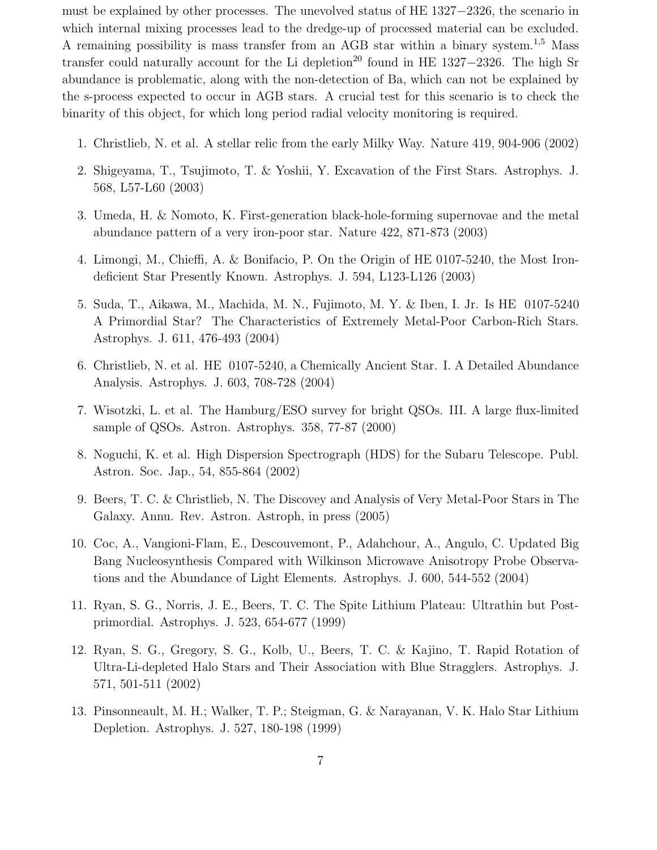must be explained by other processes. The unevolved status of HE 1327−2326, the scenario in which internal mixing processes lead to the dredge-up of processed material can be excluded. A remaining possibility is mass transfer from an AGB star within a binary system.<sup>1,5</sup> Mass transfer could naturally account for the Li depletion<sup>20</sup> found in HE 1327–2326. The high Sr abundance is problematic, along with the non-detection of Ba, which can not be explained by the s-process expected to occur in AGB stars. A crucial test for this scenario is to check the binarity of this object, for which long period radial velocity monitoring is required.

- 1. Christlieb, N. et al. A stellar relic from the early Milky Way. Nature 419, 904-906 (2002)
- 2. Shigeyama, T., Tsujimoto, T. & Yoshii, Y. Excavation of the First Stars. Astrophys. J. 568, L57-L60 (2003)
- 3. Umeda, H. & Nomoto, K. First-generation black-hole-forming supernovae and the metal abundance pattern of a very iron-poor star. Nature 422, 871-873 (2003)
- 4. Limongi, M., Chieffi, A. & Bonifacio, P. On the Origin of HE 0107-5240, the Most Irondeficient Star Presently Known. Astrophys. J. 594, L123-L126 (2003)
- 5. Suda, T., Aikawa, M., Machida, M. N., Fujimoto, M. Y. & Iben, I. Jr. Is HE 0107-5240 A Primordial Star? The Characteristics of Extremely Metal-Poor Carbon-Rich Stars. Astrophys. J. 611, 476-493 (2004)
- 6. Christlieb, N. et al. HE 0107-5240, a Chemically Ancient Star. I. A Detailed Abundance Analysis. Astrophys. J. 603, 708-728 (2004)
- 7. Wisotzki, L. et al. The Hamburg/ESO survey for bright QSOs. III. A large flux-limited sample of QSOs. Astron. Astrophys. 358, 77-87 (2000)
- 8. Noguchi, K. et al. High Dispersion Spectrograph (HDS) for the Subaru Telescope. Publ. Astron. Soc. Jap., 54, 855-864 (2002)
- 9. Beers, T. C. & Christlieb, N. The Discovey and Analysis of Very Metal-Poor Stars in The Galaxy. Annu. Rev. Astron. Astroph, in press (2005)
- 10. Coc, A., Vangioni-Flam, E., Descouvemont, P., Adahchour, A., Angulo, C. Updated Big Bang Nucleosynthesis Compared with Wilkinson Microwave Anisotropy Probe Observations and the Abundance of Light Elements. Astrophys. J. 600, 544-552 (2004)
- 11. Ryan, S. G., Norris, J. E., Beers, T. C. The Spite Lithium Plateau: Ultrathin but Postprimordial. Astrophys. J. 523, 654-677 (1999)
- 12. Ryan, S. G., Gregory, S. G., Kolb, U., Beers, T. C. & Kajino, T. Rapid Rotation of Ultra-Li-depleted Halo Stars and Their Association with Blue Stragglers. Astrophys. J. 571, 501-511 (2002)
- 13. Pinsonneault, M. H.; Walker, T. P.; Steigman, G. & Narayanan, V. K. Halo Star Lithium Depletion. Astrophys. J. 527, 180-198 (1999)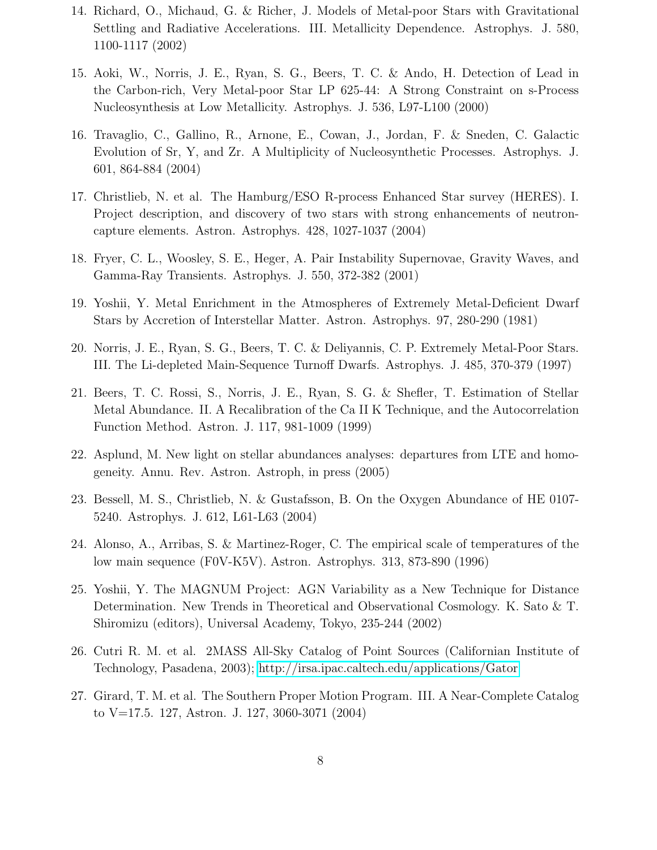- 14. Richard, O., Michaud, G. & Richer, J. Models of Metal-poor Stars with Gravitational Settling and Radiative Accelerations. III. Metallicity Dependence. Astrophys. J. 580, 1100-1117 (2002)
- 15. Aoki, W., Norris, J. E., Ryan, S. G., Beers, T. C. & Ando, H. Detection of Lead in the Carbon-rich, Very Metal-poor Star LP 625-44: A Strong Constraint on s-Process Nucleosynthesis at Low Metallicity. Astrophys. J. 536, L97-L100 (2000)
- 16. Travaglio, C., Gallino, R., Arnone, E., Cowan, J., Jordan, F. & Sneden, C. Galactic Evolution of Sr, Y, and Zr. A Multiplicity of Nucleosynthetic Processes. Astrophys. J. 601, 864-884 (2004)
- 17. Christlieb, N. et al. The Hamburg/ESO R-process Enhanced Star survey (HERES). I. Project description, and discovery of two stars with strong enhancements of neutroncapture elements. Astron. Astrophys. 428, 1027-1037 (2004)
- 18. Fryer, C. L., Woosley, S. E., Heger, A. Pair Instability Supernovae, Gravity Waves, and Gamma-Ray Transients. Astrophys. J. 550, 372-382 (2001)
- 19. Yoshii, Y. Metal Enrichment in the Atmospheres of Extremely Metal-Deficient Dwarf Stars by Accretion of Interstellar Matter. Astron. Astrophys. 97, 280-290 (1981)
- 20. Norris, J. E., Ryan, S. G., Beers, T. C. & Deliyannis, C. P. Extremely Metal-Poor Stars. III. The Li-depleted Main-Sequence Turnoff Dwarfs. Astrophys. J. 485, 370-379 (1997)
- 21. Beers, T. C. Rossi, S., Norris, J. E., Ryan, S. G. & Shefler, T. Estimation of Stellar Metal Abundance. II. A Recalibration of the Ca II K Technique, and the Autocorrelation Function Method. Astron. J. 117, 981-1009 (1999)
- 22. Asplund, M. New light on stellar abundances analyses: departures from LTE and homogeneity. Annu. Rev. Astron. Astroph, in press (2005)
- 23. Bessell, M. S., Christlieb, N. & Gustafsson, B. On the Oxygen Abundance of HE 0107- 5240. Astrophys. J. 612, L61-L63 (2004)
- 24. Alonso, A., Arribas, S. & Martinez-Roger, C. The empirical scale of temperatures of the low main sequence (F0V-K5V). Astron. Astrophys. 313, 873-890 (1996)
- 25. Yoshii, Y. The MAGNUM Project: AGN Variability as a New Technique for Distance Determination. New Trends in Theoretical and Observational Cosmology. K. Sato & T. Shiromizu (editors), Universal Academy, Tokyo, 235-244 (2002)
- 26. Cutri R. M. et al. 2MASS All-Sky Catalog of Point Sources (Californian Institute of Technology, Pasadena, 2003);<http://irsa.ipac.caltech.edu/applications/Gator>
- 27. Girard, T. M. et al. The Southern Proper Motion Program. III. A Near-Complete Catalog to V=17.5. 127, Astron. J. 127, 3060-3071 (2004)